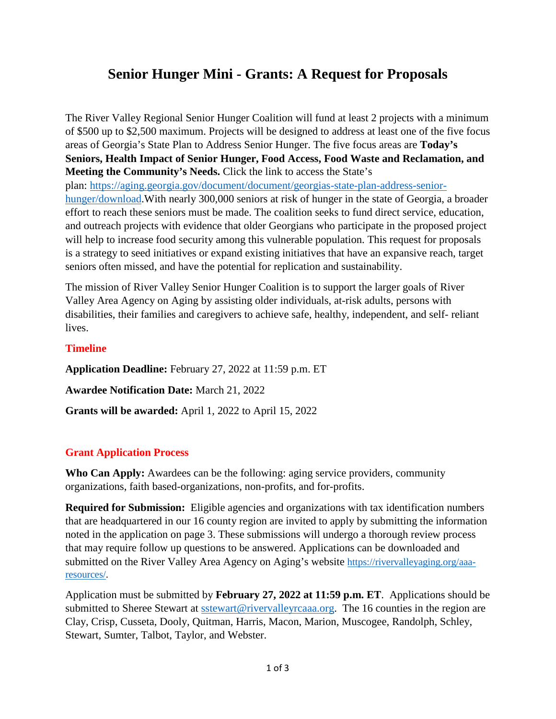# **Senior Hunger Mini - Grants: A Request for Proposals**

The River Valley Regional Senior Hunger Coalition will fund at least 2 projects with a minimum of \$500 up to \$2,500 maximum. Projects will be designed to address at least one of the five focus areas of Georgia's State Plan to Address Senior Hunger. The five focus areas are **Today's Seniors, Health Impact of Senior Hunger, Food Access, Food Waste and Reclamation, and Meeting the Community's Needs.** Click the link to access the State's plan: [https://aging.georgia.gov/document/document/georgias-state-plan-address-senior](https://aging.georgia.gov/document/document/georgias-state-plan-address-senior-hunger/download)[hunger/download.](https://aging.georgia.gov/document/document/georgias-state-plan-address-senior-hunger/download)With nearly 300,000 seniors at risk of hunger in the state of Georgia, a broader effort to reach these seniors must be made. The coalition seeks to fund direct service, education, and outreach projects with evidence that older Georgians who participate in the proposed project will help to increase food security among this vulnerable population. This request for proposals is a strategy to seed initiatives or expand existing initiatives that have an expansive reach, target seniors often missed, and have the potential for replication and sustainability.

The mission of River Valley Senior Hunger Coalition is to support the larger goals of River Valley Area Agency on Aging by assisting older individuals, at-risk adults, persons with disabilities, their families and caregivers to achieve safe, healthy, independent, and self- reliant lives.

### **Timeline**

**Application Deadline:** February 27, 2022 at 11:59 p.m. ET **Awardee Notification Date:** March 21, 2022 **Grants will be awarded:** April 1, 2022 to April 15, 2022

## **Grant Application Process**

**Who Can Apply:** Awardees can be the following: aging service providers, community organizations, faith based-organizations, non-profits, and for-profits.

**Required for Submission:** Eligible agencies and organizations with tax identification numbers that are headquartered in our 16 county region are invited to apply by submitting the information noted in the application on page 3. These submissions will undergo a thorough review process that may require follow up questions to be answered. Applications can be downloaded and submitted on the River Valley Area Agency on Aging's website [https://rivervalleyaging.org/aaa](https://rivervalleyaging.org/aaa-resources/)[resources/.](https://rivervalleyaging.org/aaa-resources/)

Application must be submitted by **February 27, 2022 at 11:59 p.m. ET**. Applications should be submitted to Sheree Stewart at [sstewart@rivervalleyrcaaa.org.](mailto:sstewart@rivervalleyrcaaa.org) The 16 counties in the region are Clay, Crisp, Cusseta, Dooly, Quitman, Harris, Macon, Marion, Muscogee, Randolph, Schley, Stewart, Sumter, Talbot, Taylor, and Webster.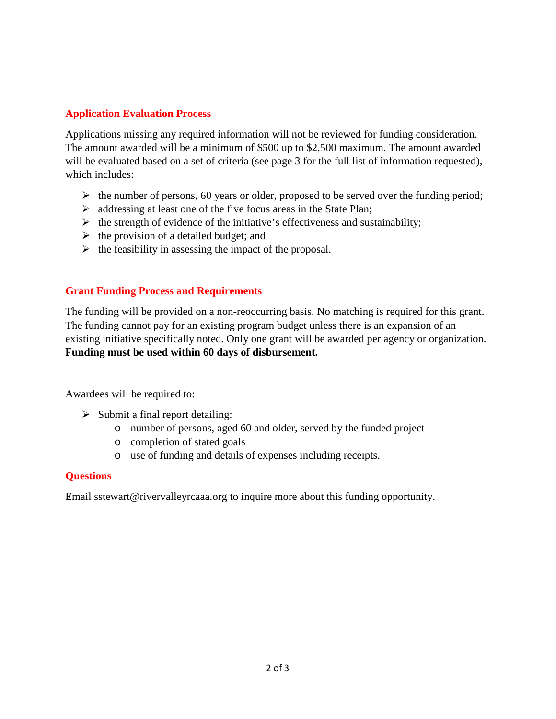## **Application Evaluation Process**

Applications missing any required information will not be reviewed for funding consideration. The amount awarded will be a minimum of \$500 up to \$2,500 maximum. The amount awarded will be evaluated based on a set of criteria (see page 3 for the full list of information requested), which includes:

- $\triangleright$  the number of persons, 60 years or older, proposed to be served over the funding period;
- $\triangleright$  addressing at least one of the five focus areas in the State Plan;
- $\triangleright$  the strength of evidence of the initiative's effectiveness and sustainability;
- $\triangleright$  the provision of a detailed budget; and
- $\triangleright$  the feasibility in assessing the impact of the proposal.

### **Grant Funding Process and Requirements**

The funding will be provided on a non-reoccurring basis. No matching is required for this grant. The funding cannot pay for an existing program budget unless there is an expansion of an existing initiative specifically noted. Only one grant will be awarded per agency or organization. **Funding must be used within 60 days of disbursement.**

Awardees will be required to:

- $\triangleright$  Submit a final report detailing:
	- o number of persons, aged 60 and older, served by the funded project
	- o completion of stated goals
	- o use of funding and details of expenses including receipts.

### **Questions**

Email sstewart@rivervalleyrcaaa.org to inquire more about this funding opportunity.